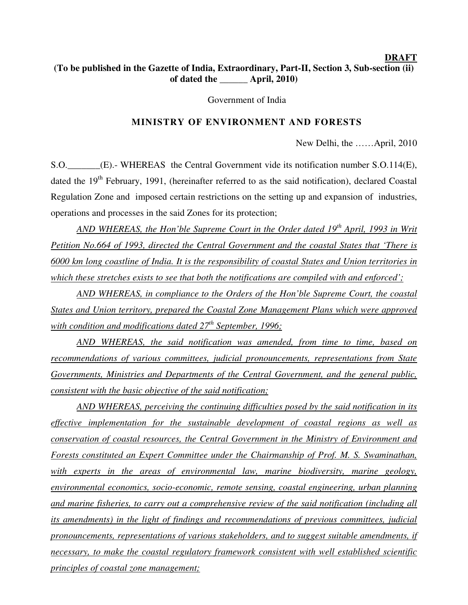## **DRAFT (To be published in the Gazette of India, Extraordinary, Part-II, Section 3, Sub-section (ii) of dated the \_\_\_\_\_\_ April, 2010)**

Government of India

### **MINISTRY OF ENVIRONMENT AND FORESTS**

New Delhi, the ……April, 2010

S.O. (E).- WHEREAS the Central Government vide its notification number S.O.114(E), dated the 19<sup>th</sup> February, 1991, (hereinafter referred to as the said notification), declared Coastal Regulation Zone and imposed certain restrictions on the setting up and expansion of industries, operations and processes in the said Zones for its protection;

*AND WHEREAS, the Hon'ble Supreme Court in the Order dated 19th April, 1993 in Writ Petition No.664 of 1993, directed the Central Government and the coastal States that 'There is 6000 km long coastline of India. It is the responsibility of coastal States and Union territories in which these stretches exists to see that both the notifications are compiled with and enforced';*

 *AND WHEREAS, in compliance to the Orders of the Hon'ble Supreme Court, the coastal States and Union territory, prepared the Coastal Zone Management Plans which were approved with condition and modifications dated 27th September, 1996;*

*AND WHEREAS, the said notification was amended, from time to time, based on recommendations of various committees, judicial pronouncements, representations from State Governments, Ministries and Departments of the Central Government, and the general public, consistent with the basic objective of the said notification;*

 *AND WHEREAS, perceiving the continuing difficulties posed by the said notification in its effective implementation for the sustainable development of coastal regions as well as conservation of coastal resources, the Central Government in the Ministry of Environment and Forests constituted an Expert Committee under the Chairmanship of Prof. M. S. Swaminathan, with experts in the areas of environmental law, marine biodiversity, marine geology, environmental economics, socio-economic, remote sensing, coastal engineering, urban planning and marine fisheries, to carry out a comprehensive review of the said notification (including all its amendments) in the light of findings and recommendations of previous committees, judicial pronouncements, representations of various stakeholders, and to suggest suitable amendments, if necessary, to make the coastal regulatory framework consistent with well established scientific principles of coastal zone management;*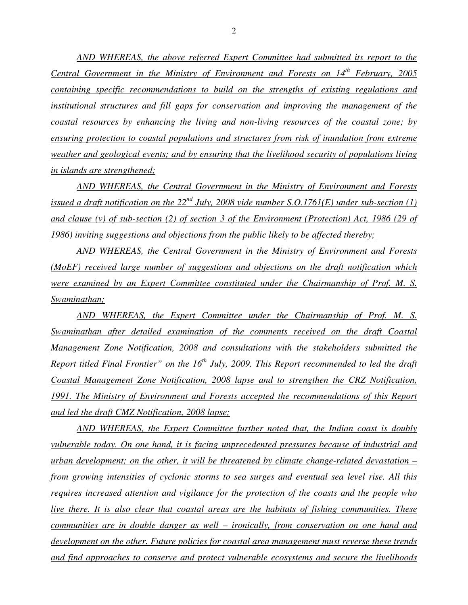*AND WHEREAS, the above referred Expert Committee had submitted its report to the Central Government in the Ministry of Environment and Forests on 14th February, 2005 containing specific recommendations to build on the strengths of existing regulations and institutional structures and fill gaps for conservation and improving the management of the coastal resources by enhancing the living and non-living resources of the coastal zone; by ensuring protection to coastal populations and structures from risk of inundation from extreme weather and geological events; and by ensuring that the livelihood security of populations living in islands are strengthened;*

 *AND WHEREAS, the Central Government in the Ministry of Environment and Forests issued a draft notification on the*  $22^{nd}$  *July, 2008 vide number S.O.1761(E) under sub-section (1) and clause (v) of sub-section (2) of section 3 of the Environment (Protection) Act, 1986 (29 of 1986) inviting suggestions and objections from the public likely to be affected thereby;*

 *AND WHEREAS, the Central Government in the Ministry of Environment and Forests (MoEF) received large number of suggestions and objections on the draft notification which were examined by an Expert Committee constituted under the Chairmanship of Prof. M. S. Swaminathan;*

 *AND WHEREAS, the Expert Committee under the Chairmanship of Prof. M. S. <u>Swaminathan after detailed examination of the comments received on the draft Coastal*</u> *Management Zone Notification, 2008 and consultations with the stakeholders submitted the Report titled Final Frontier" on the 16th July, 2009. This Report recommended to led the draft Coastal Management Zone Notification, 2008 lapse and to strengthen the CRZ Notification, 1991. The Ministry of Environment and Forests accepted the recommendations of this Report and led the draft CMZ Notification, 2008 lapse;*

 *AND WHEREAS, the Expert Committee further noted that, the Indian coast is doubly vulnerable today. On one hand, it is facing unprecedented pressures because of industrial and urban development; on the other, it will be threatened by climate change-related devastation – from growing intensities of cyclonic storms to sea surges and eventual sea level rise. All this requires increased attention and vigilance for the protection of the coasts and the people who live there. It is also clear that coastal areas are the habitats of fishing communities. These communities are in double danger as well – ironically, from conservation on one hand and development on the other. Future policies for coastal area management must reverse these trends and find approaches to conserve and protect vulnerable ecosystems and secure the livelihoods*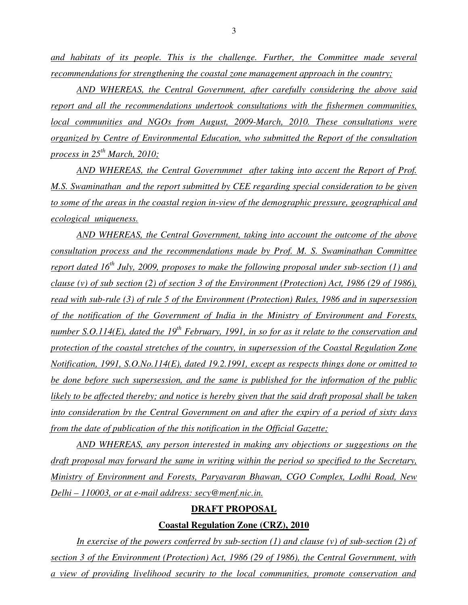*and habitats of its people. This is the challenge. Further, the Committee made several recommendations for strengthening the coastal zone management approach in the country;* 

 *AND WHEREAS, the Central Government, after carefully considering the above said report and all the recommendations undertook consultations with the fishermen communities, local communities and NGOs from August, 2009-March, 2010. These consultations were organized by Centre of Environmental Education, who submitted the Report of the consultation process in 25th March, 2010;*

 *AND WHEREAS, the Central Governmmet after taking into accent the Report of Prof. M.S. Swaminathan and the report submitted by CEE regarding special consideration to be given to some of the areas in the coastal region in-view of the demographic pressure, geographical and ecological uniqueness.* 

 *AND WHEREAS, the Central Government, taking into account the outcome of the above consultation process and the recommendations made by Prof. M. S. Swaminathan Committee report dated 16th July, 2009, proposes to make the following proposal under sub-section (1) and clause (v) of sub section (2) of section 3 of the Environment (Protection) Act, 1986 (29 of 1986), read with sub-rule (3) of rule 5 of the Environment (Protection) Rules, 1986 and in supersession of the notification of the Government of India in the Ministry of Environment and Forests, number S.O.114(E), dated the 19th February, 1991, in so for as it relate to the conservation and protection of the coastal stretches of the country, in supersession of the Coastal Regulation Zone Notification, 1991, S.O.No.114(E), dated 19.2.1991, except as respects things done or omitted to be done before such supersession, and the same is published for the information of the public likely to be affected thereby; and notice is hereby given that the said draft proposal shall be taken into consideration by the Central Government on and after the expiry of a period of sixty days from the date of publication of the this notification in the Official Gazette;*

 *AND WHEREAS, any person interested in making any objections or suggestions on the draft proposal may forward the same in writing within the period so specified to the Secretary, Ministry of Environment and Forests, Paryavaran Bhawan, CGO Complex, Lodhi Road, New Delhi – 110003, or at e-mail address: secy@menf.nic.in.* 

#### **DRAFT PROPOSAL**

#### **Coastal Regulation Zone (CRZ), 2010**

*In exercise of the powers conferred by sub-section (1) and clause (v) of sub-section (2) of section 3 of the Environment (Protection) Act, 1986 (29 of 1986), the Central Government, with a view of providing livelihood security to the local communities, promote conservation and*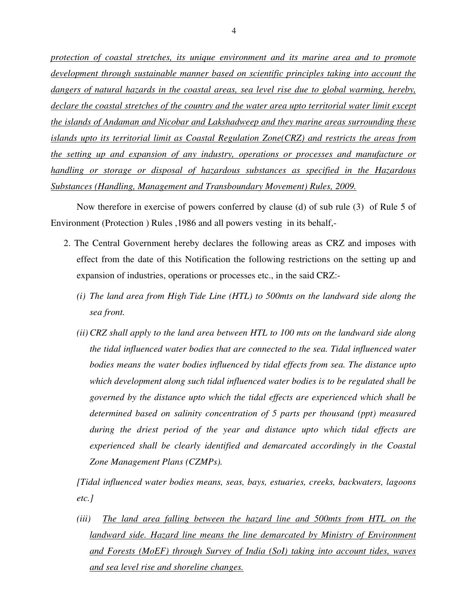*protection of coastal stretches, its unique environment and its marine area and to promote development through sustainable manner based on scientific principles taking into account the dangers of natural hazards in the coastal areas, sea level rise due to global warming, hereby, declare the coastal stretches of the country and the water area upto territorial water limit except the islands of Andaman and Nicobar and Lakshadweep and they marine areas surrounding these islands upto its territorial limit as Coastal Regulation Zone(CRZ) and restricts the areas from the setting up and expansion of any industry, operations or processes and manufacture or handling or storage or disposal of hazardous substances as specified in the Hazardous Substances (Handling, Management and Transboundary Movement) Rules, 2009.*

 Now therefore in exercise of powers conferred by clause (d) of sub rule (3) of Rule 5 of Environment (Protection ) Rules ,1986 and all powers vesting in its behalf,-

- 2. The Central Government hereby declares the following areas as CRZ and imposes with effect from the date of this Notification the following restrictions on the setting up and expansion of industries, operations or processes etc., in the said CRZ:-
	- *(i) The land area from High Tide Line (HTL) to 500mts on the landward side along the sea front.*
	- *(ii) CRZ shall apply to the land area between HTL to 100 mts on the landward side along the tidal influenced water bodies that are connected to the sea. Tidal influenced water bodies means the water bodies influenced by tidal effects from sea. The distance upto which development along such tidal influenced water bodies is to be regulated shall be governed by the distance upto which the tidal effects are experienced which shall be determined based on salinity concentration of 5 parts per thousand (ppt) measured during the driest period of the year and distance upto which tidal effects are experienced shall be clearly identified and demarcated accordingly in the Coastal Zone Management Plans (CZMPs).*

*[Tidal influenced water bodies means, seas, bays, estuaries, creeks, backwaters, lagoons etc.]* 

*(iii) The land area falling between the hazard line and 500mts from HTL on the landward side. Hazard line means the line demarcated by Ministry of Environment and Forests (MoEF) through Survey of India (SoI) taking into account tides, waves and sea level rise and shoreline changes.*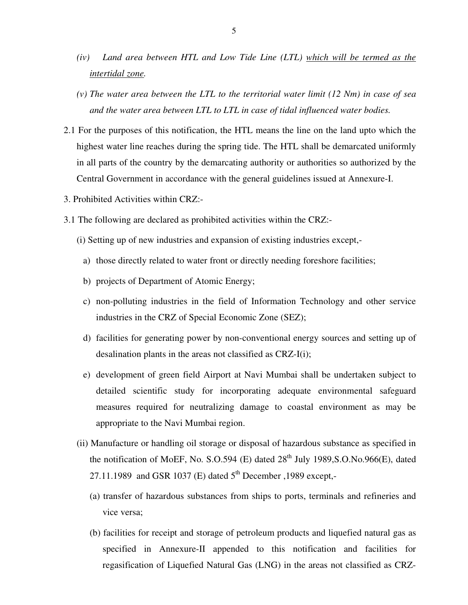- *(iv) Land area between HTL and Low Tide Line (LTL) which will be termed as the intertidal zone.*
- *(v) The water area between the LTL to the territorial water limit (12 Nm) in case of sea and the water area between LTL to LTL in case of tidal influenced water bodies.*
- 2.1 For the purposes of this notification, the HTL means the line on the land upto which the highest water line reaches during the spring tide. The HTL shall be demarcated uniformly in all parts of the country by the demarcating authority or authorities so authorized by the Central Government in accordance with the general guidelines issued at Annexure-I.
- 3. Prohibited Activities within CRZ:-
- 3.1 The following are declared as prohibited activities within the CRZ:-
	- (i) Setting up of new industries and expansion of existing industries except,
		- a) those directly related to water front or directly needing foreshore facilities;
		- b) projects of Department of Atomic Energy;
		- c) non-polluting industries in the field of Information Technology and other service industries in the CRZ of Special Economic Zone (SEZ);
		- d) facilities for generating power by non-conventional energy sources and setting up of desalination plants in the areas not classified as CRZ-I(i);
		- e) development of green field Airport at Navi Mumbai shall be undertaken subject to detailed scientific study for incorporating adequate environmental safeguard measures required for neutralizing damage to coastal environment as may be appropriate to the Navi Mumbai region.
	- (ii) Manufacture or handling oil storage or disposal of hazardous substance as specified in the notification of MoEF, No.  $S. O.594$  (E) dated  $28<sup>th</sup>$  July 1989,  $S. O. No.966$  (E), dated 27.11.1989 and GSR 1037 (E) dated  $5<sup>th</sup>$  December , 1989 except,-
		- (a) transfer of hazardous substances from ships to ports, terminals and refineries and vice versa;
		- (b) facilities for receipt and storage of petroleum products and liquefied natural gas as specified in Annexure-II appended to this notification and facilities for regasification of Liquefied Natural Gas (LNG) in the areas not classified as CRZ-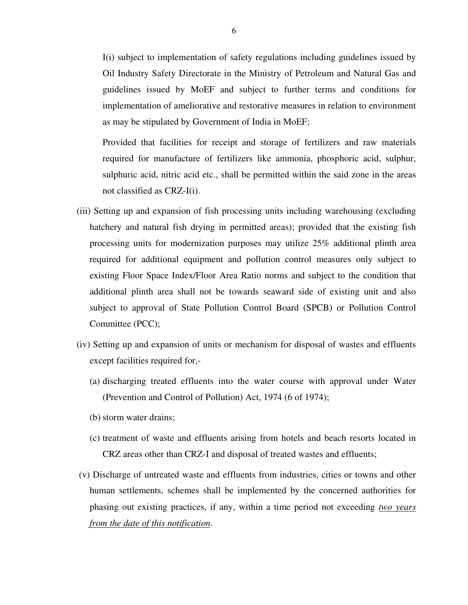I(i) subject to implementation of safety regulations including guidelines issued by Oil Industry Safety Directorate in the Ministry of Petroleum and Natural Gas and guidelines issued by MoEF and subject to further terms and conditions for implementation of ameliorative and restorative measures in relation to environment as may be stipulated by Government of India in MoEF;

 Provided that facilities for receipt and storage of fertilizers and raw materials required for manufacture of fertilizers like ammonia, phosphoric acid, sulphur, sulphuric acid, nitric acid etc., shall be permitted within the said zone in the areas not classified as CRZ-I(i).

- (iii) Setting up and expansion of fish processing units including warehousing (excluding hatchery and natural fish drying in permitted areas); provided that the existing fish processing units for modernization purposes may utilize 25% additional plinth area required for additional equipment and pollution control measures only subject to existing Floor Space Index/Floor Area Ratio norms and subject to the condition that additional plinth area shall not be towards seaward side of existing unit and also subject to approval of State Pollution Control Board (SPCB) or Pollution Control Committee (PCC);
- (iv) Setting up and expansion of units or mechanism for disposal of wastes and effluents except facilities required for,-
	- (a) discharging treated effluents into the water course with approval under Water (Prevention and Control of Pollution) Act, 1974 (6 of 1974);
	- (b) storm water drains;
	- (c) treatment of waste and effluents arising from hotels and beach resorts located in CRZ areas other than CRZ-I and disposal of treated wastes and effluents;
- (v) Discharge of untreated waste and effluents from industries, cities or towns and other human settlements, schemes shall be implemented by the concerned authorities for phasing out existing practices, if any, within a time period not exceeding *two years from the date of this notification*.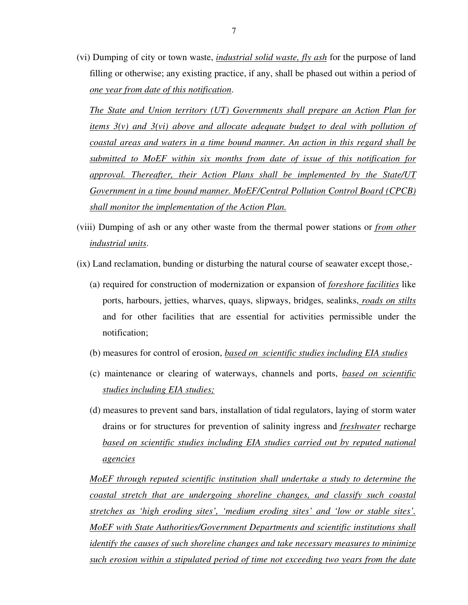(vi) Dumping of city or town waste, *industrial solid waste, fly ash* for the purpose of land filling or otherwise; any existing practice, if any, shall be phased out within a period of *one year from date of this notification*.

*The State and Union territory (UT) Governments shall prepare an Action Plan for items 3(v) and 3(vi) above and allocate adequate budget to deal with pollution of coastal areas and waters in a time bound manner. An action in this regard shall be submitted to MoEF within six months from date of issue of this notification for approval. Thereafter, their Action Plans shall be implemented by the State/UT Government in a time bound manner. MoEF/Central Pollution Control Board (CPCB) shall monitor the implementation of the Action Plan.* 

- (viii) Dumping of ash or any other waste from the thermal power stations or *from other industrial units*.
- (ix) Land reclamation, bunding or disturbing the natural course of seawater except those,-
	- (a) required for construction of modernization or expansion of *foreshore facilities* like ports, harbours, jetties, wharves, quays, slipways, bridges, sealinks, *roads on stilts* and for other facilities that are essential for activities permissible under the notification;
	- (b) measures for control of erosion, *based on scientific studies including EIA studies*
	- (c) maintenance or clearing of waterways, channels and ports, *based on scientific studies including EIA studies;*
	- (d) measures to prevent sand bars, installation of tidal regulators, laying of storm water drains or for structures for prevention of salinity ingress and *freshwater* recharge based on scientific studies including EIA studies carried out by reputed national *agencies*

*MoEF through reputed scientific institution shall undertake a study to determine the coastal stretch that are undergoing shoreline changes, and classify such coastal stretches as 'high eroding sites', 'medium eroding sites' and 'low or stable sites'. MoEF with State Authorities/Government Departments and scientific institutions shall identify the causes of such shoreline changes and take necessary measures to minimize such erosion within a stipulated period of time not exceeding two years from the date*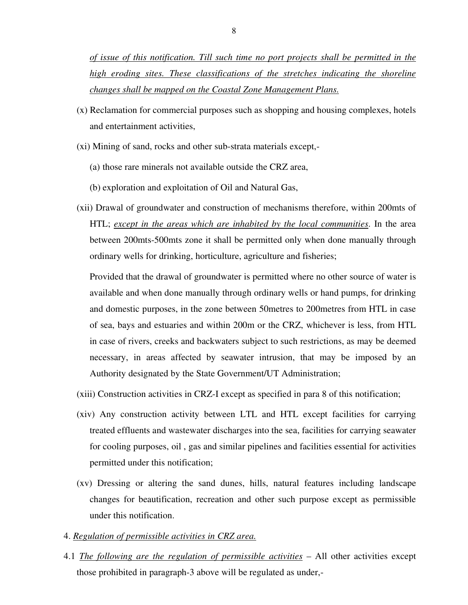*of issue of this notification. Till such time no port projects shall be permitted in the high eroding sites. These classifications of the stretches indicating the shoreline changes shall be mapped on the Coastal Zone Management Plans.* 

- (x) Reclamation for commercial purposes such as shopping and housing complexes, hotels and entertainment activities,
- (xi) Mining of sand, rocks and other sub-strata materials except,-
	- (a) those rare minerals not available outside the CRZ area,
	- (b) exploration and exploitation of Oil and Natural Gas,
- (xii) Drawal of groundwater and construction of mechanisms therefore, within 200mts of HTL; *except in the areas which are inhabited by the local communities*. In the area between 200mts-500mts zone it shall be permitted only when done manually through ordinary wells for drinking, horticulture, agriculture and fisheries;

 Provided that the drawal of groundwater is permitted where no other source of water is available and when done manually through ordinary wells or hand pumps, for drinking and domestic purposes, in the zone between 50metres to 200metres from HTL in case of sea, bays and estuaries and within 200m or the CRZ, whichever is less, from HTL in case of rivers, creeks and backwaters subject to such restrictions, as may be deemed necessary, in areas affected by seawater intrusion, that may be imposed by an Authority designated by the State Government/UT Administration;

- (xiii) Construction activities in CRZ-I except as specified in para 8 of this notification;
- (xiv) Any construction activity between LTL and HTL except facilities for carrying treated effluents and wastewater discharges into the sea, facilities for carrying seawater for cooling purposes, oil , gas and similar pipelines and facilities essential for activities permitted under this notification;
- (xv) Dressing or altering the sand dunes, hills, natural features including landscape changes for beautification, recreation and other such purpose except as permissible under this notification.
- 4. *Regulation of permissible activities in CRZ area.*
- 4.1 *The following are the regulation of permissible activities* All other activities except those prohibited in paragraph-3 above will be regulated as under,-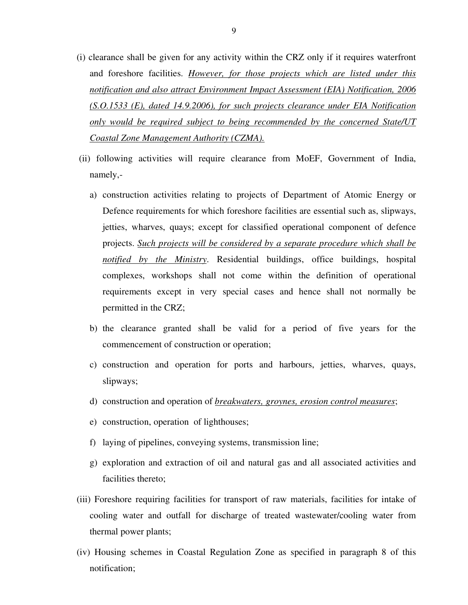- (i) clearance shall be given for any activity within the CRZ only if it requires waterfront and foreshore facilities. *However, for those projects which are listed under this notification and also attract Environment Impact Assessment (EIA) Notification, 2006 (S.O.1533 (E), dated 14.9.2006), for such projects clearance under EIA Notification only would be required subject to being recommended by the concerned State/UT Coastal Zone Management Authority (CZMA).*
- (ii) following activities will require clearance from MoEF, Government of India, namely,
	- a) construction activities relating to projects of Department of Atomic Energy or Defence requirements for which foreshore facilities are essential such as, slipways, jetties, wharves, quays; except for classified operational component of defence projects. *Such projects will be considered by a separate procedure which shall be notified by the Ministry*. Residential buildings, office buildings, hospital complexes, workshops shall not come within the definition of operational requirements except in very special cases and hence shall not normally be permitted in the CRZ;
	- b) the clearance granted shall be valid for a period of five years for the commencement of construction or operation;
	- c) construction and operation for ports and harbours, jetties, wharves, quays, slipways;
	- d) construction and operation of *breakwaters, groynes, erosion control measures*;
	- e) construction, operation of lighthouses;
	- f) laying of pipelines, conveying systems, transmission line;
	- g) exploration and extraction of oil and natural gas and all associated activities and facilities thereto;
- (iii) Foreshore requiring facilities for transport of raw materials, facilities for intake of cooling water and outfall for discharge of treated wastewater/cooling water from thermal power plants;
- (iv) Housing schemes in Coastal Regulation Zone as specified in paragraph 8 of this notification;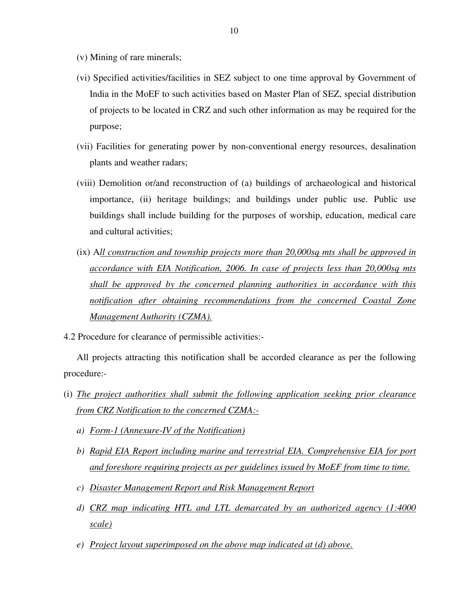- (v) Mining of rare minerals;
- (vi) Specified activities/facilities in SEZ subject to one time approval by Government of India in the MoEF to such activities based on Master Plan of SEZ, special distribution of projects to be located in CRZ and such other information as may be required for the purpose;
- (vii) Facilities for generating power by non-conventional energy resources, desalination plants and weather radars;
- (viii) Demolition or/and reconstruction of (a) buildings of archaeological and historical importance, (ii) heritage buildings; and buildings under public use. Public use buildings shall include building for the purposes of worship, education, medical care and cultural activities;
- (ix) A*ll construction and township projects more than 20,000sq mts shall be approved in accordance with EIA Notification, 2006. In case of projects less than 20,000sq mts shall be approved by the concerned planning authorities in accordance with this notification after obtaining recommendations from the concerned Coastal Zone Management Authority (CZMA).*
- 4.2 Procedure for clearance of permissible activities:-

 All projects attracting this notification shall be accorded clearance as per the following procedure:-

- (i) *The project authorities shall submit the following application seeking prior clearance from CRZ Notification to the concerned CZMA:*
	- *a) Form-1 (Annexure-IV of the Notification)*
	- *b) Rapid EIA Report including marine and terrestrial EIA. Comprehensive EIA for port and foreshore requiring projects as per guidelines issued by MoEF from time to time.*
	- *c) Disaster Management Report and Risk Management Report*
	- *d) CRZ map indicating HTL and LTL demarcated by an authorized agency (1:4000 scale)*
	- *e) Project layout superimposed on the above map indicated at (d) above.*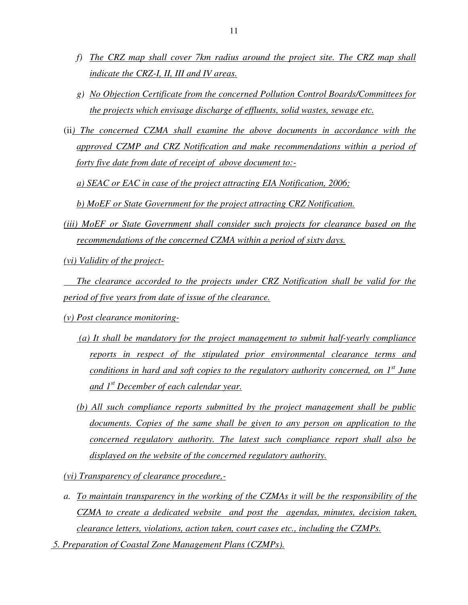- *f) The CRZ map shall cover 7km radius around the project site. The CRZ map shall indicate the CRZ-I, II, III and IV areas.*
- *g) No Objection Certificate from the concerned Pollution Control Boards/Committees for the projects which envisage discharge of effluents, solid wastes, sewage etc.*
- (ii*) The concerned CZMA shall examine the above documents in accordance with the approved CZMP and CRZ Notification and make recommendations within a period of forty five date from date of receipt of above document to:-*

*a) SEAC or EAC in case of the project attracting EIA Notification, 2006;* 

*b) MoEF or State Government for the project attracting CRZ Notification.* 

- *(iii) MoEF or State Government shall consider such projects for clearance based on the recommendations of the concerned CZMA within a period of sixty days.*
- *(vi) Validity of the project-*

 *The clearance accorded to the projects under CRZ Notification shall be valid for the period of five years from date of issue of the clearance.* 

- *(v) Post clearance monitoring-*
	- *(a) It shall be mandatory for the project management to submit half-yearly compliance reports in respect of the stipulated prior environmental clearance terms and conditions in hard and soft copies to the regulatory authority concerned, on 1st June and 1st December of each calendar year.*
	- *(b) All such compliance reports submitted by the project management shall be public documents. Copies of the same shall be given to any person on application to the concerned regulatory authority. The latest such compliance report shall also be displayed on the website of the concerned regulatory authority.*

*(vi) Transparency of clearance procedure,-*

*a. To maintain transparency in the working of the CZMAs it will be the responsibility of the CZMA to create a dedicated website and post the agendas, minutes, decision taken, clearance letters, violations, action taken, court cases etc., including the CZMPs.* 

 *5. Preparation of Coastal Zone Management Plans (CZMPs).*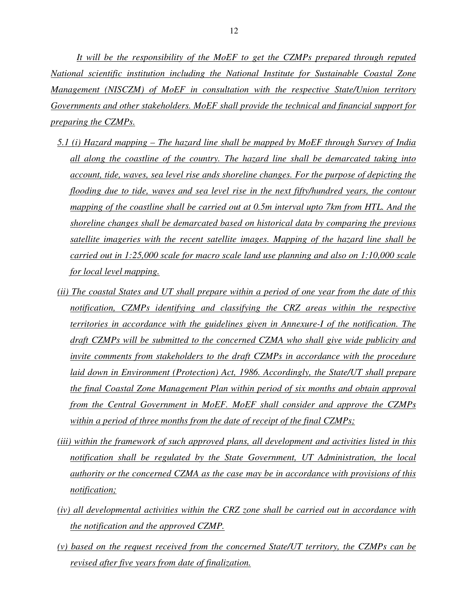*It will be the responsibility of the MoEF to get the CZMPs prepared through reputed National scientific institution including the National Institute for Sustainable Coastal Zone Management (NISCZM) of MoEF in consultation with the respective State/Union territory Governments and other stakeholders. MoEF shall provide the technical and financial support for preparing the CZMPs.* 

- *5.1 (i) Hazard mapping The hazard line shall be mapped by MoEF through Survey of India all along the coastline of the country. The hazard line shall be demarcated taking into account, tide, waves, sea level rise ands shoreline changes. For the purpose of depicting the flooding due to tide, waves and sea level rise in the next fifty/hundred years, the contour mapping of the coastline shall be carried out at 0.5m interval upto 7km from HTL. And the shoreline changes shall be demarcated based on historical data by comparing the previous satellite imageries with the recent satellite images. Mapping of the hazard line shall be carried out in 1:25,000 scale for macro scale land use planning and also on 1:10,000 scale for local level mapping.*
- *(ii) The coastal States and UT shall prepare within a period of one year from the date of this notification, CZMPs identifying and classifying the CRZ areas within the respective territories in accordance with the guidelines given in Annexure-I of the notification. The draft CZMPs will be submitted to the concerned CZMA who shall give wide publicity and invite comments from stakeholders to the draft CZMPs in accordance with the procedure laid down in Environment (Protection) Act, 1986. Accordingly, the State/UT shall prepare the final Coastal Zone Management Plan within period of six months and obtain approval from the Central Government in MoEF. MoEF shall consider and approve the CZMPs within a period of three months from the date of receipt of the final CZMPs;*
- *(iii) within the framework of such approved plans, all development and activities listed in this notification shall be regulated by the State Government, UT Administration, the local authority or the concerned CZMA as the case may be in accordance with provisions of this notification;*
- *(iv) all developmental activities within the CRZ zone shall be carried out in accordance with the notification and the approved CZMP.*
- *(v) based on the request received from the concerned State/UT territory, the CZMPs can be revised after five years from date of finalization.*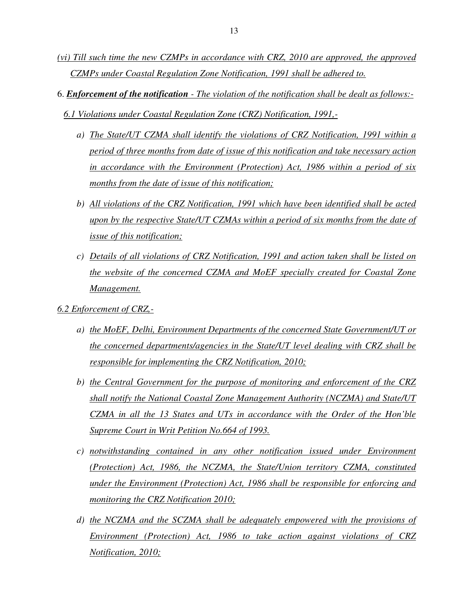- *(vi) Till such time the new CZMPs in accordance with CRZ, 2010 are approved, the approved CZMPs under Coastal Regulation Zone Notification, 1991 shall be adhered to.*
- 6. *Enforcement of the notification The violation of the notification shall be dealt as follows:-*
	- *6.1 Violations under Coastal Regulation Zone (CRZ) Notification, 1991,*
		- *a) The State/UT CZMA shall identify the violations of CRZ Notification, 1991 within a period of three months from date of issue of this notification and take necessary action in accordance with the Environment (Protection) Act, 1986 within a period of six months from the date of issue of this notification;*
		- *b) All violations of the CRZ Notification, 1991 which have been identified shall be acted upon by the respective State/UT CZMAs within a period of six months from the date of issue of this notification;*
		- *c) Details of all violations of CRZ Notification, 1991 and action taken shall be listed on the website of the concerned CZMA and MoEF specially created for Coastal Zone Management.*
- *6.2 Enforcement of CRZ,*
	- *a) the MoEF, Delhi, Environment Departments of the concerned State Government/UT or the concerned departments/agencies in the State/UT level dealing with CRZ shall be responsible for implementing the CRZ Notification, 2010;*
	- *b) the Central Government for the purpose of monitoring and enforcement of the CRZ shall notify the National Coastal Zone Management Authority (NCZMA) and State/UT CZMA in all the 13 States and UTs in accordance with the Order of the Hon'ble Supreme Court in Writ Petition No.664 of 1993.*
	- *c) notwithstanding contained in any other notification issued under Environment (Protection) Act, 1986, the NCZMA, the State/Union territory CZMA, constituted under the Environment (Protection) Act, 1986 shall be responsible for enforcing and monitoring the CRZ Notification 2010;*
	- *d) the NCZMA and the SCZMA shall be adequately empowered with the provisions of Environment (Protection) Act, 1986 to take action against violations of CRZ Notification, 2010;*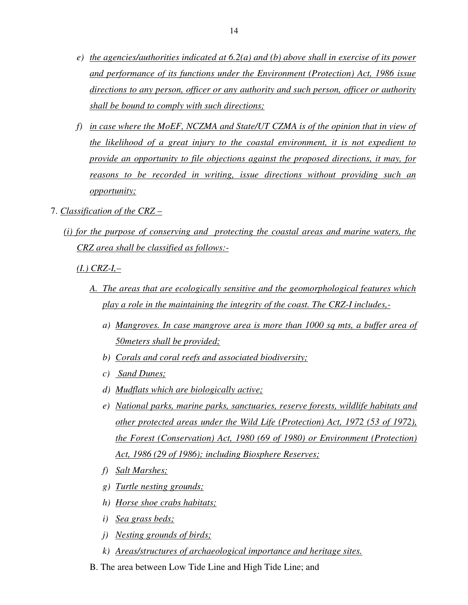- *e) the agencies/authorities indicated at 6.2(a) and (b) above shall in exercise of its power and performance of its functions under the Environment (Protection) Act, 1986 issue directions to any person, officer or any authority and such person, officer or authority shall be bound to comply with such directions;*
- *f) in case where the MoEF, NCZMA and State/UT CZMA is of the opinion that in view of the likelihood of a great injury to the coastal environment, it is not expedient to provide an opportunity to file objections against the proposed directions, it may, for reasons to be recorded in writing, issue directions without providing such an opportunity;*
- 7. *Classification of the CRZ* 
	- *(i) for the purpose of conserving and protecting the coastal areas and marine waters, the CRZ area shall be classified as follows:-*

*(I.) CRZ-I,–* 

- *A. The areas that are ecologically sensitive and the geomorphological features which play a role in the maintaining the integrity of the coast. The CRZ-I includes,* 
	- *a) Mangroves. In case mangrove area is more than 1000 sq mts, a buffer area of 50meters shall be provided;*
	- *b) Corals and coral reefs and associated biodiversity;*
	- *c) Sand Dunes;*
	- *d) Mudflats which are biologically active;*
	- *e) National parks, marine parks, sanctuaries, reserve forests, wildlife habitats and other protected areas under the Wild Life (Protection) Act, 1972 (53 of 1972), the Forest (Conservation) Act, 1980 (69 of 1980) or Environment (Protection) Act, 1986 (29 of 1986); including Biosphere Reserves;*
	- *f) Salt Marshes;*
	- *g) Turtle nesting grounds;*
	- *h) Horse shoe crabs habitats;*
	- *i) Sea grass beds;*
	- *j) Nesting grounds of birds;*
	- *k) Areas/structures of archaeological importance and heritage sites.*
- B. The area between Low Tide Line and High Tide Line; and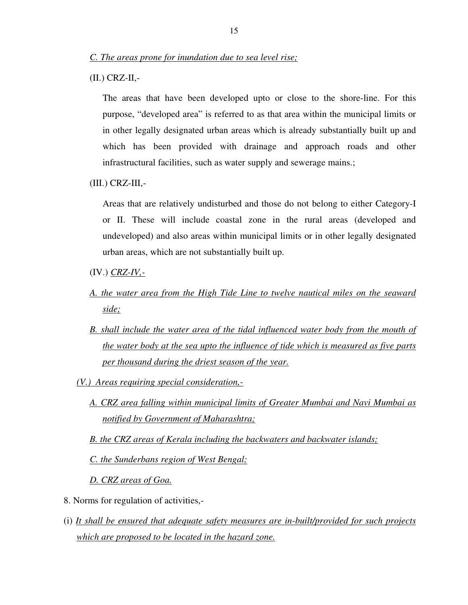(II.) CRZ-II,-

 The areas that have been developed upto or close to the shore-line. For this purpose, "developed area" is referred to as that area within the municipal limits or in other legally designated urban areas which is already substantially built up and which has been provided with drainage and approach roads and other infrastructural facilities, such as water supply and sewerage mains.;

(III.) CRZ-III,-

 Areas that are relatively undisturbed and those do not belong to either Category-I or II. These will include coastal zone in the rural areas (developed and undeveloped) and also areas within municipal limits or in other legally designated urban areas, which are not substantially built up.

- (IV.) *CRZ-IV,-*
- *A. the water area from the High Tide Line to twelve nautical miles on the seaward side;*
- *B.* shall include the water area of the tidal influenced water body from the mouth of *the water body at the sea upto the influence of tide which is measured as five parts per thousand during the driest season of the year.*
- *(V.) Areas requiring special consideration,-*
	- *A. CRZ area falling within municipal limits of Greater Mumbai and Navi Mumbai as notified by Government of Maharashtra;*
	- *B. the CRZ areas of Kerala including the backwaters and backwater islands;*

*C. the Sunderbans region of West Bengal;*

*D. CRZ areas of Goa.* 

- 8. Norms for regulation of activities,-
- (i) *It shall be ensured that adequate safety measures are in-built/provided for such projects which are proposed to be located in the hazard zone.*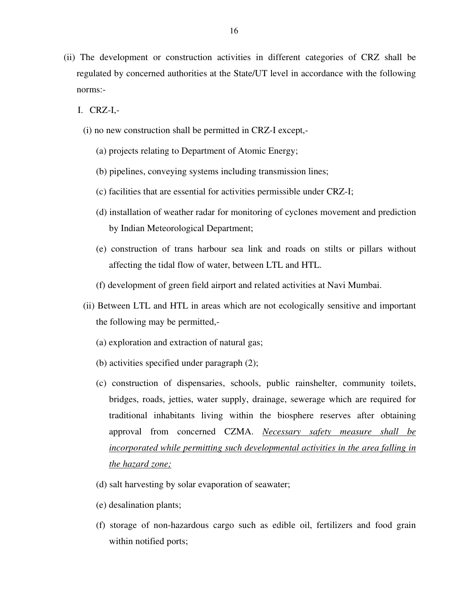- (ii) The development or construction activities in different categories of CRZ shall be regulated by concerned authorities at the State/UT level in accordance with the following norms:-
	- I. CRZ-I,-
		- (i) no new construction shall be permitted in CRZ-I except,-
			- (a) projects relating to Department of Atomic Energy;
			- (b) pipelines, conveying systems including transmission lines;
			- (c) facilities that are essential for activities permissible under CRZ-I;
			- (d) installation of weather radar for monitoring of cyclones movement and prediction by Indian Meteorological Department;
			- (e) construction of trans harbour sea link and roads on stilts or pillars without affecting the tidal flow of water, between LTL and HTL.
			- (f) development of green field airport and related activities at Navi Mumbai.
		- (ii) Between LTL and HTL in areas which are not ecologically sensitive and important the following may be permitted,-
			- (a) exploration and extraction of natural gas;
			- (b) activities specified under paragraph (2);
			- (c) construction of dispensaries, schools, public rainshelter, community toilets, bridges, roads, jetties, water supply, drainage, sewerage which are required for traditional inhabitants living within the biosphere reserves after obtaining approval from concerned CZMA. *Necessary safety measure shall be incorporated while permitting such developmental activities in the area falling in the hazard zone;*
			- (d) salt harvesting by solar evaporation of seawater;
			- (e) desalination plants;
			- (f) storage of non-hazardous cargo such as edible oil, fertilizers and food grain within notified ports;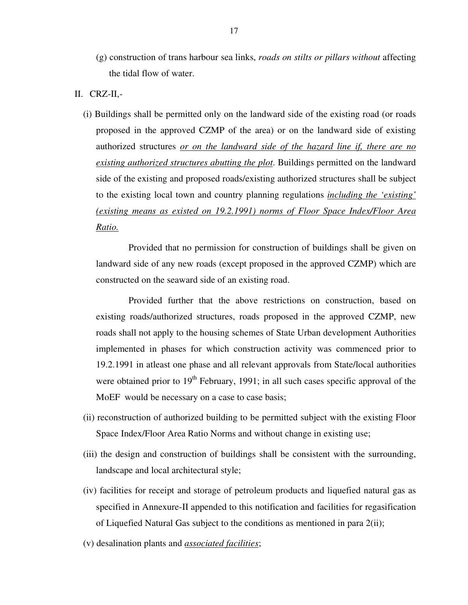- (g) construction of trans harbour sea links, *roads on stilts or pillars without* affecting the tidal flow of water.
- II. CRZ-II,-
	- (i) Buildings shall be permitted only on the landward side of the existing road (or roads proposed in the approved CZMP of the area) or on the landward side of existing authorized structures *or on the landward side of the hazard line if, there are no existing authorized structures abutting the plot*. Buildings permitted on the landward side of the existing and proposed roads/existing authorized structures shall be subject to the existing local town and country planning regulations *including the 'existing' (existing means as existed on 19.2.1991) norms of Floor Space Index/Floor Area Ratio.*

 Provided that no permission for construction of buildings shall be given on landward side of any new roads (except proposed in the approved CZMP) which are constructed on the seaward side of an existing road.

 Provided further that the above restrictions on construction, based on existing roads/authorized structures, roads proposed in the approved CZMP, new roads shall not apply to the housing schemes of State Urban development Authorities implemented in phases for which construction activity was commenced prior to 19.2.1991 in atleast one phase and all relevant approvals from State/local authorities were obtained prior to  $19<sup>th</sup>$  February, 1991; in all such cases specific approval of the MoEF would be necessary on a case to case basis;

- (ii) reconstruction of authorized building to be permitted subject with the existing Floor Space Index/Floor Area Ratio Norms and without change in existing use;
- (iii) the design and construction of buildings shall be consistent with the surrounding, landscape and local architectural style;
- (iv) facilities for receipt and storage of petroleum products and liquefied natural gas as specified in Annexure-II appended to this notification and facilities for regasification of Liquefied Natural Gas subject to the conditions as mentioned in para 2(ii);
- (v) desalination plants and *associated facilities*;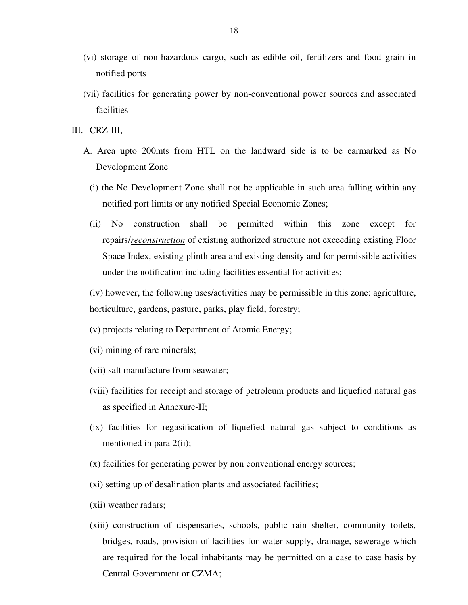- (vi) storage of non-hazardous cargo, such as edible oil, fertilizers and food grain in notified ports
- (vii) facilities for generating power by non-conventional power sources and associated facilities
- III. CRZ-III,-
	- A. Area upto 200mts from HTL on the landward side is to be earmarked as No Development Zone
		- (i) the No Development Zone shall not be applicable in such area falling within any notified port limits or any notified Special Economic Zones;
		- (ii) No construction shall be permitted within this zone except for repairs/*reconstruction* of existing authorized structure not exceeding existing Floor Space Index, existing plinth area and existing density and for permissible activities under the notification including facilities essential for activities;

(iv) however, the following uses/activities may be permissible in this zone: agriculture, horticulture, gardens, pasture, parks, play field, forestry;

- (v) projects relating to Department of Atomic Energy;
- (vi) mining of rare minerals;
- (vii) salt manufacture from seawater;
- (viii) facilities for receipt and storage of petroleum products and liquefied natural gas as specified in Annexure-II;
- (ix) facilities for regasification of liquefied natural gas subject to conditions as mentioned in para 2(ii);
- (x) facilities for generating power by non conventional energy sources;
- (xi) setting up of desalination plants and associated facilities;
- (xii) weather radars;
- (xiii) construction of dispensaries, schools, public rain shelter, community toilets, bridges, roads, provision of facilities for water supply, drainage, sewerage which are required for the local inhabitants may be permitted on a case to case basis by Central Government or CZMA;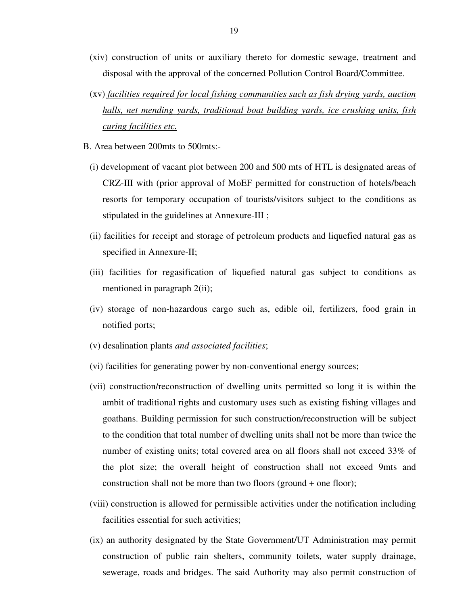- (xiv) construction of units or auxiliary thereto for domestic sewage, treatment and disposal with the approval of the concerned Pollution Control Board/Committee.
- (xv) *facilities required for local fishing communities such as fish drying yards, auction halls, net mending yards, traditional boat building yards, ice crushing units, fish curing facilities etc.*
- B. Area between 200mts to 500mts:-
	- (i) development of vacant plot between 200 and 500 mts of HTL is designated areas of CRZ-III with (prior approval of MoEF permitted for construction of hotels/beach resorts for temporary occupation of tourists/visitors subject to the conditions as stipulated in the guidelines at Annexure-III ;
	- (ii) facilities for receipt and storage of petroleum products and liquefied natural gas as specified in Annexure-II;
	- (iii) facilities for regasification of liquefied natural gas subject to conditions as mentioned in paragraph  $2(ii)$ ;
	- (iv) storage of non-hazardous cargo such as, edible oil, fertilizers, food grain in notified ports;
	- (v) desalination plants *and associated facilities*;
	- (vi) facilities for generating power by non-conventional energy sources;
	- (vii) construction/reconstruction of dwelling units permitted so long it is within the ambit of traditional rights and customary uses such as existing fishing villages and goathans. Building permission for such construction/reconstruction will be subject to the condition that total number of dwelling units shall not be more than twice the number of existing units; total covered area on all floors shall not exceed 33% of the plot size; the overall height of construction shall not exceed 9mts and construction shall not be more than two floors (ground + one floor);
	- (viii) construction is allowed for permissible activities under the notification including facilities essential for such activities;
	- (ix) an authority designated by the State Government/UT Administration may permit construction of public rain shelters, community toilets, water supply drainage, sewerage, roads and bridges. The said Authority may also permit construction of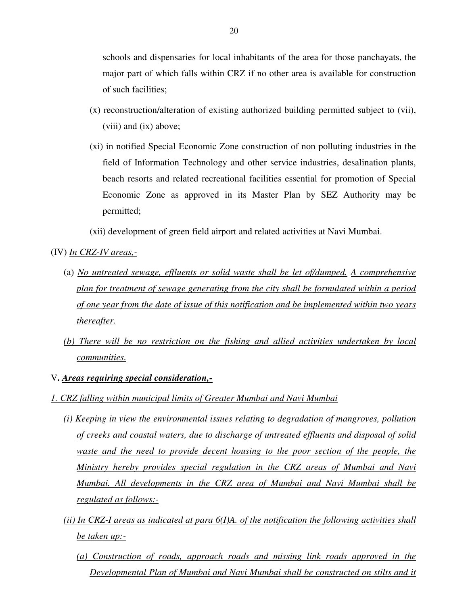schools and dispensaries for local inhabitants of the area for those panchayats, the major part of which falls within CRZ if no other area is available for construction of such facilities;

- (x) reconstruction/alteration of existing authorized building permitted subject to (vii), (viii) and (ix) above;
- (xi) in notified Special Economic Zone construction of non polluting industries in the field of Information Technology and other service industries, desalination plants, beach resorts and related recreational facilities essential for promotion of Special Economic Zone as approved in its Master Plan by SEZ Authority may be permitted;

(xii) development of green field airport and related activities at Navi Mumbai.

(IV) *In CRZ-IV areas,-*

- (a) *No untreated sewage, effluents or solid waste shall be let of/dumped. A comprehensive plan for treatment of sewage generating from the city shall be formulated within a period of one year from the date of issue of this notification and be implemented within two years thereafter.*
- *(b) There will be no restriction on the fishing and allied activities undertaken by local communities.*

#### V**.** *Areas requiring special consideration,-*

- *1. CRZ falling within municipal limits of Greater Mumbai and Navi Mumbai* 
	- *(i) Keeping in view the environmental issues relating to degradation of mangroves, pollution of creeks and coastal waters, due to discharge of untreated effluents and disposal of solid waste and the need to provide decent housing to the poor section of the people, the Ministry hereby provides special regulation in the CRZ areas of Mumbai and Navi Mumbai. All developments in the CRZ area of Mumbai and Navi Mumbai shall be regulated as follows:-*
	- *(ii) In CRZ-I areas as indicated at para 6(I)A. of the notification the following activities shall be taken up:-*
		- *(a) Construction of roads, approach roads and missing link roads approved in the Developmental Plan of Mumbai and Navi Mumbai shall be constructed on stilts and it*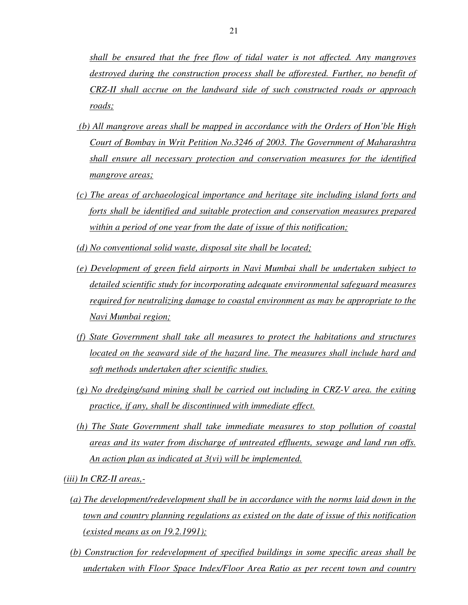*shall be ensured that the free flow of tidal water is not affected. Any mangroves destroyed during the construction process shall be afforested. Further, no benefit of CRZ-II shall accrue on the landward side of such constructed roads or approach roads;* 

- *(b) All mangrove areas shall be mapped in accordance with the Orders of Hon'ble High Court of Bombay in Writ Petition No.3246 of 2003. The Government of Maharashtra shall ensure all necessary protection and conservation measures for the identified mangrove areas;*
- *(c) The areas of archaeological importance and heritage site including island forts and forts shall be identified and suitable protection and conservation measures prepared within a period of one year from the date of issue of this notification;*
- *(d) No conventional solid waste, disposal site shall be located;*
- *(e) Development of green field airports in Navi Mumbai shall be undertaken subject to detailed scientific study for incorporating adequate environmental safeguard measures required for neutralizing damage to coastal environment as may be appropriate to the Navi Mumbai region;*
- *(f) State Government shall take all measures to protect the habitations and structures located on the seaward side of the hazard line. The measures shall include hard and soft methods undertaken after scientific studies.*
- *(g) No dredging/sand mining shall be carried out including in CRZ-V area. the exiting practice, if any, shall be discontinued with immediate effect.*
- *(h) The State Government shall take immediate measures to stop pollution of coastal areas and its water from discharge of untreated effluents, sewage and land run offs. An action plan as indicated at 3(vi) will be implemented.*

*(iii) In CRZ-II areas,-*

- *(a) The development/redevelopment shall be in accordance with the norms laid down in the town and country planning regulations as existed on the date of issue of this notification (existed means as on 19.2.1991);*
- *(b) Construction for redevelopment of specified buildings in some specific areas shall be undertaken with Floor Space Index/Floor Area Ratio as per recent town and country*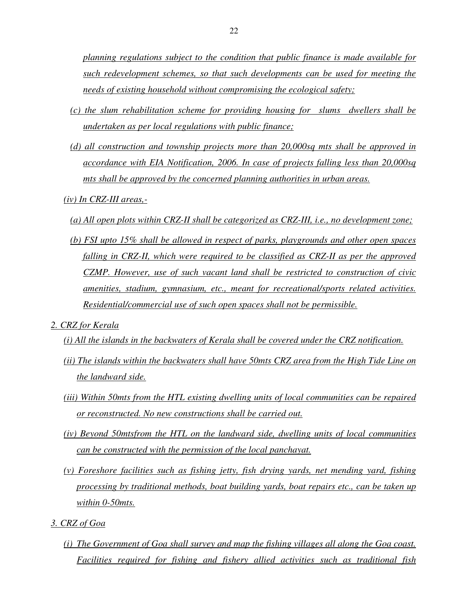*planning regulations subject to the condition that public finance is made available for such redevelopment schemes, so that such developments can be used for meeting the needs of existing household without compromising the ecological safety;*

- *(c) the slum rehabilitation scheme for providing housing for slums dwellers shall be undertaken as per local regulations with public finance;*
- *(d) all construction and township projects more than 20,000sq mts shall be approved in accordance with EIA Notification, 2006. In case of projects falling less than 20,000sq mts shall be approved by the concerned planning authorities in urban areas.*
- *(iv) In CRZ-III areas,-*
	- *(a) All open plots within CRZ-II shall be categorized as CRZ-III, i.e., no development zone;*
	- *(b) FSI upto 15% shall be allowed in respect of parks, playgrounds and other open spaces falling in CRZ-II, which were required to be classified as CRZ-II as per the approved CZMP. However, use of such vacant land shall be restricted to construction of civic amenities, stadium, gymnasium, etc., meant for recreational/sports related activities. Residential/commercial use of such open spaces shall not be permissible.*
- *2. CRZ for Kerala* 
	- *(i) All the islands in the backwaters of Kerala shall be covered under the CRZ notification.*
	- *(ii) The islands within the backwaters shall have 50mts CRZ area from the High Tide Line on the landward side.*
	- *(iii) Within 50mts from the HTL existing dwelling units of local communities can be repaired or reconstructed. No new constructions shall be carried out.*
	- *(iv) Beyond 50mtsfrom the HTL on the landward side, dwelling units of local communities can be constructed with the permission of the local panchayat.*
	- *(v) Foreshore facilities such as fishing jetty, fish drying yards, net mending yard, fishing processing by traditional methods, boat building yards, boat repairs etc., can be taken up within 0-50mts.*
- *3. CRZ of Goa*
	- *(i) The Government of Goa shall survey and map the fishing villages all along the Goa coast. Facilities required for fishing and fishery allied activities such as traditional fish*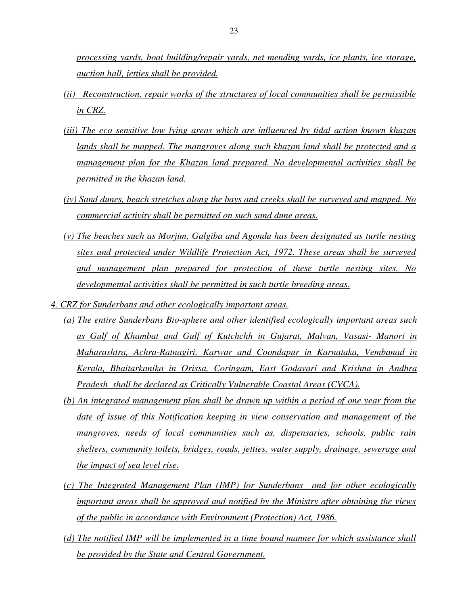*processing yards, boat building/repair yards, net mending yards, ice plants, ice storage, auction hall, jetties shall be provided.* 

- *(ii) Reconstruction, repair works of the structures of local communities shall be permissible in CRZ.*
- *(iii) The eco sensitive low lying areas which are influenced by tidal action known khazan lands shall be mapped. The mangroves along such khazan land shall be protected and a management plan for the Khazan land prepared. No developmental activities shall be permitted in the khazan land.*
- *(iv) Sand dunes, beach stretches along the bays and creeks shall be surveyed and mapped. No commercial activity shall be permitted on such sand dune areas.*
- *(v) The beaches such as Morjim, Galgiba and Agonda has been designated as turtle nesting sites and protected under Wildlife Protection Act, 1972. These areas shall be surveyed and management plan prepared for protection of these turtle nesting sites. No developmental activities shall be permitted in such turtle breeding areas.*
- *4. CRZ for Sunderbans and other ecologically important areas.*
	- *(a) The entire Sunderbans Bio-sphere and other identified ecologically important areas such as Gulf of Khambat and Gulf of Kutchchh in Gujarat, Malvan, Vasasi- Manori in Maharashtra, Achra-Ratnagiri, Karwar and Coondapur in Karnataka, Vembanad in Kerala, Bhaitarkanika in Orissa, Coringam, East Godavari and Krishna in Andhra Pradesh shall be declared as Critically Vulnerable Coastal Areas (CVCA).*
	- *(b) An integrated management plan shall be drawn up within a period of one year from the date of issue of this Notification keeping in view conservation and management of the mangroves, needs of local communities such as, dispensaries, schools, public rain shelters, community toilets, bridges, roads, jetties, water supply, drainage, sewerage and the impact of sea level rise.*
	- *(c) The Integrated Management Plan (IMP) for Sunderbans and for other ecologically important areas shall be approved and notified by the Ministry after obtaining the views of the public in accordance with Environment (Protection) Act, 1986.*
	- *(d) The notified IMP will be implemented in a time bound manner for which assistance shall be provided by the State and Central Government.*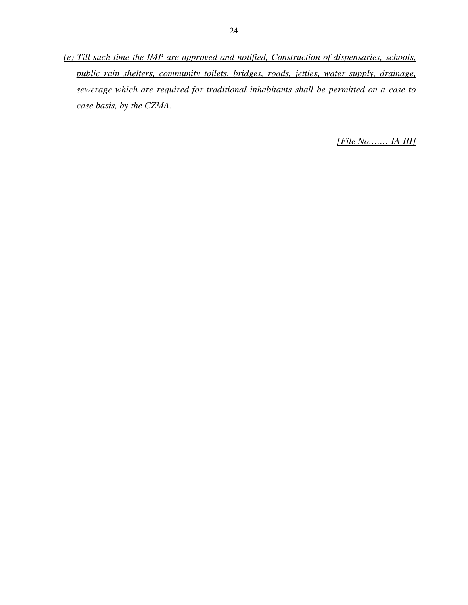*(e) Till such time the IMP are approved and notified, Construction of dispensaries, schools, public rain shelters, community toilets, bridges, roads, jetties, water supply, drainage, sewerage which are required for traditional inhabitants shall be permitted on a case to case basis, by the CZMA.* 

*[File No…….-IA-III]*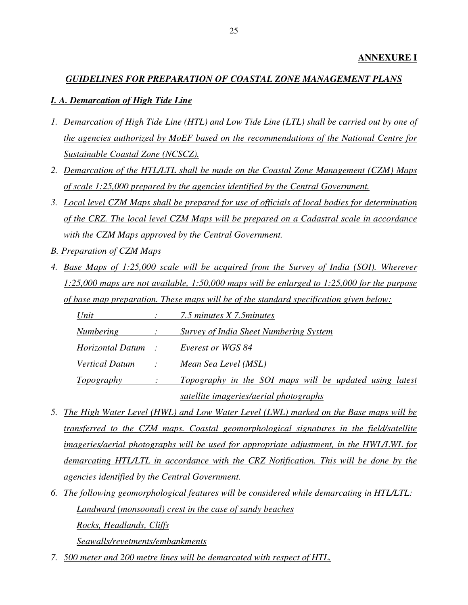# **ANNEXURE I**

# *GUIDELINES FOR PREPARATION OF COASTAL ZONE MANAGEMENT PLANS*

## *I. A. Demarcation of High Tide Line*

- *1. Demarcation of High Tide Line (HTL) and Low Tide Line (LTL) shall be carried out by one of the agencies authorized by MoEF based on the recommendations of the National Centre for Sustainable Coastal Zone (NCSCZ).*
- *2. Demarcation of the HTL/LTL shall be made on the Coastal Zone Management (CZM) Maps of scale 1:25,000 prepared by the agencies identified by the Central Government.*
- *3. Local level CZM Maps shall be prepared for use of officials of local bodies for determination of the CRZ. The local level CZM Maps will be prepared on a Cadastral scale in accordance with the CZM Maps approved by the Central Government.*
- *B. Preparation of CZM Maps*
- *4. Base Maps of 1:25,000 scale will be acquired from the Survey of India (SOI). Wherever 1:25,000 maps are not available, 1:50,000 maps will be enlarged to 1:25,000 for the purpose of base map preparation. These maps will be of the standard specification given below:*

 *Unit : 7.5 minutes X 7.5minutes*

 *Numbering : Survey of India Sheet Numbering System*

 *Horizontal Datum : Everest or WGS 84*

 *Vertical Datum : Mean Sea Level (MSL)*

 *Topography : Topography in the SOI maps will be updated using latest satellite imageries/aerial photographs* 

- *5. The High Water Level (HWL) and Low Water Level (LWL) marked on the Base maps will be transferred to the CZM maps. Coastal geomorphological signatures in the field/satellite imageries/aerial photographs will be used for appropriate adjustment, in the HWL/LWL for demarcating HTL/LTL in accordance with the CRZ Notification. This will be done by the agencies identified by the Central Government.*
- *6. The following geomorphological features will be considered while demarcating in HTL/LTL: Landward (monsoonal) crest in the case of sandy beaches Rocks, Headlands, Cliffs*

 *Seawalls/revetments/embankments*

*7. 500 meter and 200 metre lines will be demarcated with respect of HTL.*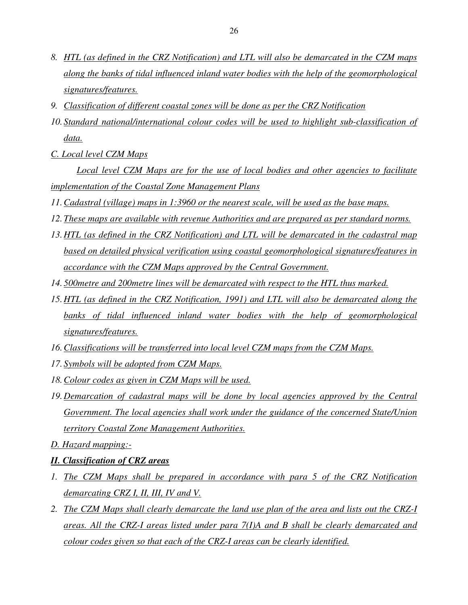- *8. HTL (as defined in the CRZ Notification) and LTL will also be demarcated in the CZM maps along the banks of tidal influenced inland water bodies with the help of the geomorphological signatures/features.*
- *9. Classification of different coastal zones will be done as per the CRZ Notification*
- *10. Standard national/international colour codes will be used to highlight sub-classification of data.*
- *C. Local level CZM Maps*

 *Local level CZM Maps are for the use of local bodies and other agencies to facilitate implementation of the Coastal Zone Management Plans*

- *11.Cadastral (village) maps in 1:3960 or the nearest scale, will be used as the base maps.*
- *12.These maps are available with revenue Authorities and are prepared as per standard norms.*
- *13.HTL (as defined in the CRZ Notification) and LTL will be demarcated in the cadastral map based on detailed physical verification using coastal geomorphological signatures/features in accordance with the CZM Maps approved by the Central Government.*
- *14. 500metre and 200metre lines will be demarcated with respect to the HTL thus marked.*
- *15.HTL (as defined in the CRZ Notification, 1991) and LTL will also be demarcated along the banks of tidal influenced inland water bodies with the help of geomorphological signatures/features.*
- *16.Classifications will be transferred into local level CZM maps from the CZM Maps.*
- *17. Symbols will be adopted from CZM Maps.*
- *18.Colour codes as given in CZM Maps will be used.*
- *19.Demarcation of cadastral maps will be done by local agencies approved by the Central Government. The local agencies shall work under the guidance of the concerned State/Union territory Coastal Zone Management Authorities.*
- *D. Hazard mapping:-*

## *II. Classification of CRZ areas*

- *1. The CZM Maps shall be prepared in accordance with para 5 of the CRZ Notification demarcating CRZ I, II, III, IV and V.*
- *2. The CZM Maps shall clearly demarcate the land use plan of the area and lists out the CRZ-I areas. All the CRZ-I areas listed under para 7(I)A and B shall be clearly demarcated and colour codes given so that each of the CRZ-I areas can be clearly identified.*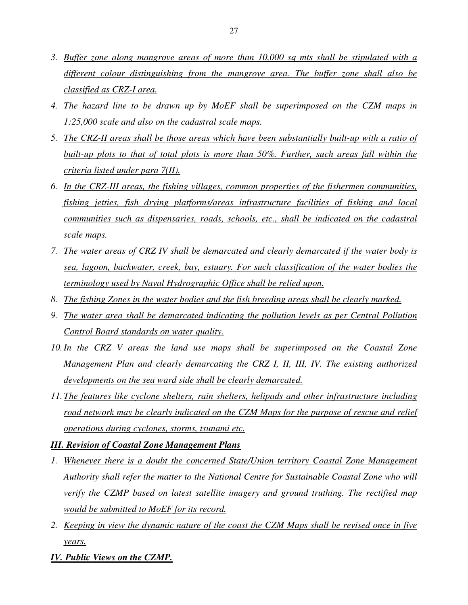- *3. Buffer zone along mangrove areas of more than 10,000 sq mts shall be stipulated with a different colour distinguishing from the mangrove area. The buffer zone shall also be classified as CRZ-I area.*
- *4. The hazard line to be drawn up by MoEF shall be superimposed on the CZM maps in 1:25,000 scale and also on the cadastral scale maps.*
- *5. The CRZ-II areas shall be those areas which have been substantially built-up with a ratio of built-up plots to that of total plots is more than 50%. Further, such areas fall within the criteria listed under para 7(II).*
- *6. In the CRZ-III areas, the fishing villages, common properties of the fishermen communities, fishing jetties, fish drying platforms/areas infrastructure facilities of fishing and local communities such as dispensaries, roads, schools, etc., shall be indicated on the cadastral scale maps.*
- *7. The water areas of CRZ IV shall be demarcated and clearly demarcated if the water body is sea, lagoon, backwater, creek, bay, estuary. For such classification of the water bodies the terminology used by Naval Hydrographic Office shall be relied upon.*
- *8. The fishing Zones in the water bodies and the fish breeding areas shall be clearly marked.*
- *9. The water area shall be demarcated indicating the pollution levels as per Central Pollution Control Board standards on water quality.*
- *10.In the CRZ V areas the land use maps shall be superimposed on the Coastal Zone Management Plan and clearly demarcating the CRZ I, II, III, IV. The existing authorized developments on the sea ward side shall be clearly demarcated.*
- *11.The features like cyclone shelters, rain shelters, helipads and other infrastructure including road network may be clearly indicated on the CZM Maps for the purpose of rescue and relief operations during cyclones, storms, tsunami etc.*

## *III. Revision of Coastal Zone Management Plans*

- 1. Whenever there is a doubt the concerned State/Union territory Coastal Zone Management *Authority shall refer the matter to the National Centre for Sustainable Coastal Zone who will verify the CZMP based on latest satellite imagery and ground truthing. The rectified map would be submitted to MoEF for its record.*
- *2. Keeping in view the dynamic nature of the coast the CZM Maps shall be revised once in five years.*
- *IV. Public Views on the CZMP.*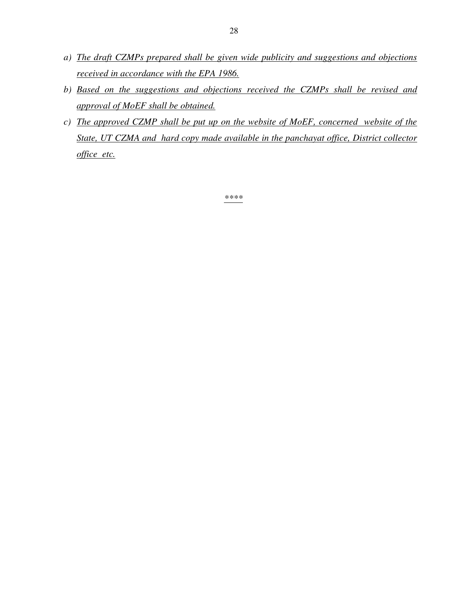- *a) The draft CZMPs prepared shall be given wide publicity and suggestions and objections received in accordance with the EPA 1986.*
- *b) Based on the suggestions and objections received the CZMPs shall be revised and approval of MoEF shall be obtained.*
- *c) The approved CZMP shall be put up on the website of MoEF, concerned website of the State, UT CZMA and hard copy made available in the panchayat office, District collector office etc.*

*\*\*\*\**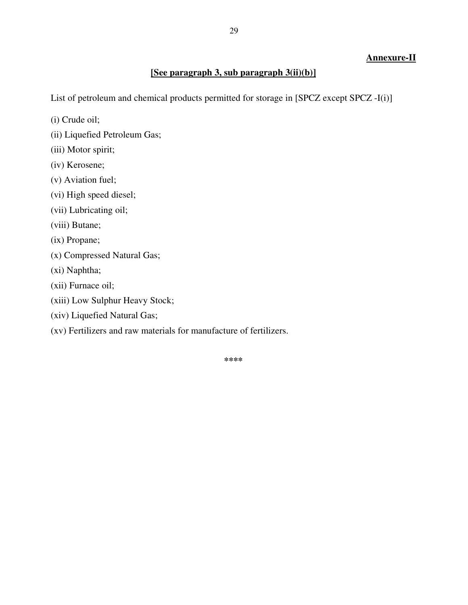# **Annexure-II**

## **[See paragraph 3, sub paragraph 3(ii)(b)]**

List of petroleum and chemical products permitted for storage in [SPCZ except SPCZ -I(i)]

- (i) Crude oil;
- (ii) Liquefied Petroleum Gas;
- (iii) Motor spirit;
- (iv) Kerosene;
- (v) Aviation fuel;
- (vi) High speed diesel;
- (vii) Lubricating oil;
- (viii) Butane;
- (ix) Propane;
- (x) Compressed Natural Gas;
- (xi) Naphtha;
- (xii) Furnace oil;
- (xiii) Low Sulphur Heavy Stock;
- (xiv) Liquefied Natural Gas;
- (xv) Fertilizers and raw materials for manufacture of fertilizers.

**\*\*\*\***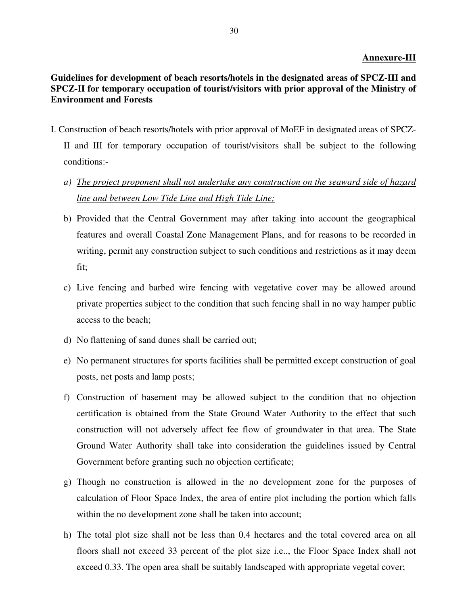#### **Annexure-III**

# **Guidelines for development of beach resorts/hotels in the designated areas of SPCZ-III and SPCZ-II for temporary occupation of tourist/visitors with prior approval of the Ministry of Environment and Forests**

- I. Construction of beach resorts/hotels with prior approval of MoEF in designated areas of SPCZ-II and III for temporary occupation of tourist/visitors shall be subject to the following conditions:
	- *a) The project proponent shall not undertake any construction on the seaward side of hazard line and between Low Tide Line and High Tide Line;*
	- b) Provided that the Central Government may after taking into account the geographical features and overall Coastal Zone Management Plans, and for reasons to be recorded in writing, permit any construction subject to such conditions and restrictions as it may deem fit;
	- c) Live fencing and barbed wire fencing with vegetative cover may be allowed around private properties subject to the condition that such fencing shall in no way hamper public access to the beach;
	- d) No flattening of sand dunes shall be carried out;
	- e) No permanent structures for sports facilities shall be permitted except construction of goal posts, net posts and lamp posts;
	- f) Construction of basement may be allowed subject to the condition that no objection certification is obtained from the State Ground Water Authority to the effect that such construction will not adversely affect fee flow of groundwater in that area. The State Ground Water Authority shall take into consideration the guidelines issued by Central Government before granting such no objection certificate;
	- g) Though no construction is allowed in the no development zone for the purposes of calculation of Floor Space Index, the area of entire plot including the portion which falls within the no development zone shall be taken into account;
	- h) The total plot size shall not be less than 0.4 hectares and the total covered area on all floors shall not exceed 33 percent of the plot size i.e.., the Floor Space Index shall not exceed 0.33. The open area shall be suitably landscaped with appropriate vegetal cover;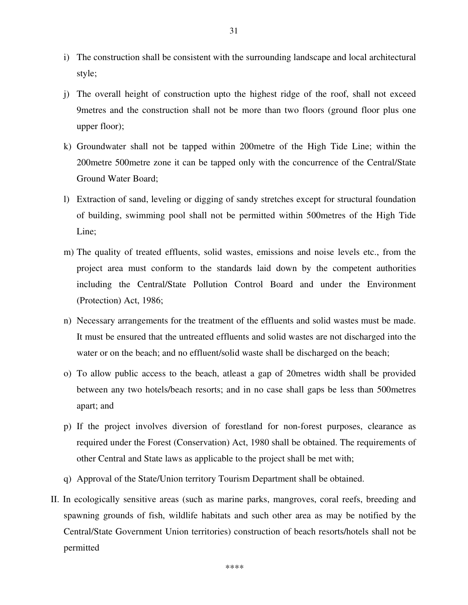- i) The construction shall be consistent with the surrounding landscape and local architectural style;
- j) The overall height of construction upto the highest ridge of the roof, shall not exceed 9metres and the construction shall not be more than two floors (ground floor plus one upper floor);
- k) Groundwater shall not be tapped within 200metre of the High Tide Line; within the 200metre 500metre zone it can be tapped only with the concurrence of the Central/State Ground Water Board;
- l) Extraction of sand, leveling or digging of sandy stretches except for structural foundation of building, swimming pool shall not be permitted within 500metres of the High Tide Line;
- m) The quality of treated effluents, solid wastes, emissions and noise levels etc., from the project area must conform to the standards laid down by the competent authorities including the Central/State Pollution Control Board and under the Environment (Protection) Act, 1986;
- n) Necessary arrangements for the treatment of the effluents and solid wastes must be made. It must be ensured that the untreated effluents and solid wastes are not discharged into the water or on the beach; and no effluent/solid waste shall be discharged on the beach;
- o) To allow public access to the beach, atleast a gap of 20metres width shall be provided between any two hotels/beach resorts; and in no case shall gaps be less than 500metres apart; and
- p) If the project involves diversion of forestland for non-forest purposes, clearance as required under the Forest (Conservation) Act, 1980 shall be obtained. The requirements of other Central and State laws as applicable to the project shall be met with;
- q) Approval of the State/Union territory Tourism Department shall be obtained.
- II. In ecologically sensitive areas (such as marine parks, mangroves, coral reefs, breeding and spawning grounds of fish, wildlife habitats and such other area as may be notified by the Central/State Government Union territories) construction of beach resorts/hotels shall not be permitted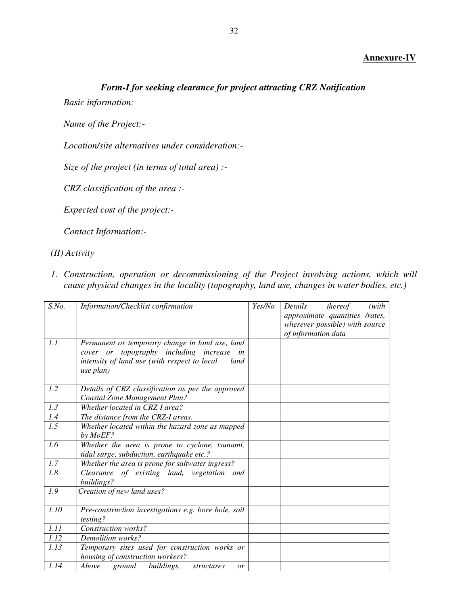#### **Annexure-IV**

# *Form-I for seeking clearance for project attracting CRZ Notification*

*Basic information:* 

*Name of the Project:-* 

*Location/site alternatives under consideration:-* 

*Size of the project (in terms of total area) :-* 

*CRZ classification of the area :-* 

*Expected cost of the project:-* 

*Contact Information:-* 

*(II) Activity* 

*1. Construction, operation or decommissioning of the Project involving actions, which will cause physical changes in the locality (topography, land use, changes in water bodies, etc.)* 

| $S$ .No. | Information/Checklist confirmation                                                                                                                                | Yes/No | Details<br>thereof<br>(with)<br>approximate quantities /rates,<br>wherever possible) with source<br>of information data |
|----------|-------------------------------------------------------------------------------------------------------------------------------------------------------------------|--------|-------------------------------------------------------------------------------------------------------------------------|
| 1.1      | Permanent or temporary change in land use, land<br>cover or topography including increase in<br>intensity of land use (with respect to local<br>land<br>use plan) |        |                                                                                                                         |
| 1.2      | Details of CRZ classification as per the approved<br>Coastal Zone Management Plan?                                                                                |        |                                                                                                                         |
| 1.3      | Whether located in CRZ-I area?                                                                                                                                    |        |                                                                                                                         |
| 1.4      | The distance from the CRZ-I areas.                                                                                                                                |        |                                                                                                                         |
| 1.5      | Whether located within the hazard zone as mapped<br>by MoEF?                                                                                                      |        |                                                                                                                         |
| 1.6      | Whether the area is prone to cyclone, tsunami,<br>tidal surge, subduction, earthquake etc.?                                                                       |        |                                                                                                                         |
| 1.7      | Whether the area is prone for saltwater ingress?                                                                                                                  |        |                                                                                                                         |
| 1.8      | Clearance of existing land, vegetation and<br>buildings?                                                                                                          |        |                                                                                                                         |
| 1.9      | Creation of new land uses?                                                                                                                                        |        |                                                                                                                         |
| 1.10     | Pre-construction investigations e.g. bore hole, soil<br>testing?                                                                                                  |        |                                                                                                                         |
| 1.11     | Construction works?                                                                                                                                               |        |                                                                                                                         |
| 1.12     | Demolition works?                                                                                                                                                 |        |                                                                                                                         |
| 1.13     | Temporary sites used for construction works or<br>housing of construction workers?                                                                                |        |                                                                                                                         |
| 1.14     | Above<br>buildings,<br>ground<br>structures<br>or                                                                                                                 |        |                                                                                                                         |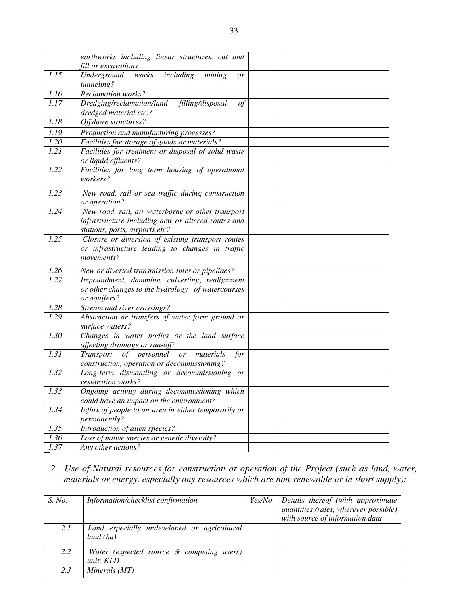|      | earthworks including linear structures, cut and                                                                                           |  |
|------|-------------------------------------------------------------------------------------------------------------------------------------------|--|
|      | fill or excavations                                                                                                                       |  |
| 1.15 | Underground<br>works<br>including<br>mining<br>or<br>tunneling?                                                                           |  |
| 1.16 | <b>Reclamation works?</b>                                                                                                                 |  |
| 1.17 | Dredging/reclamation/land<br>filling/disposal<br>of<br>dredged material etc.?                                                             |  |
| 1.18 | Offshore structures?                                                                                                                      |  |
| 1.19 | Production and manufacturing processes?                                                                                                   |  |
| 1.20 | Facilities for storage of goods or materials?                                                                                             |  |
| 1.21 | Facilities for treatment or disposal of solid waste<br>or liquid effluents?                                                               |  |
| 1.22 | Facilities for long term housing of operational<br>workers?                                                                               |  |
| 1.23 | New road, rail or sea traffic during construction<br>or operation?                                                                        |  |
| 1.24 | New road, rail, air waterborne or other transport<br>infrastructure including new or altered routes and<br>stations, ports, airports etc? |  |
| 1.25 | Closure or diversion of existing transport routes<br>or infrastructure leading to changes in traffic<br>movements?                        |  |
| 1.26 | New or diverted transmission lines or pipelines?                                                                                          |  |
| 1.27 | Impoundment, damming, culverting, realignment<br>or other changes to the hydrology of watercourses<br>or aquifers?                        |  |
| 1.28 | Stream and river crossings?                                                                                                               |  |
| 1.29 | Abstraction or transfers of water form ground or<br>surface waters?                                                                       |  |
| 1.30 | Changes in water bodies or the land surface<br>affecting drainage or run-off?                                                             |  |
| 1.31 | of personnel<br>Transport<br>for<br><i>or</i><br>materials<br>construction, operation or decommissioning?                                 |  |
| 1.32 | Long-term dismantling or decommissioning or<br>restoration works?                                                                         |  |
| 1.33 | Ongoing activity during decommissioning which<br>could have an impact on the environment?                                                 |  |
| 1.34 | Influx of people to an area in either temporarily or<br>permanently?                                                                      |  |
| 1.35 | Introduction of alien species?                                                                                                            |  |
| 1.36 | Loss of native species or genetic diversity?                                                                                              |  |
| 1.37 | Any other actions?                                                                                                                        |  |

*2. Use of Natural resources for construction or operation of the Project (such as land, water, materials or energy, especially any resources which are non-renewable or in short supply):* 

| S. No. | Information/checklist confirmation          | Yes/No | Details thereof (with approximate     |
|--------|---------------------------------------------|--------|---------------------------------------|
|        |                                             |        | quantities /rates, wherever possible) |
|        |                                             |        | with source of information data       |
| 2.1    | Land especially undeveloped or agricultural |        |                                       |
|        | land (ha)                                   |        |                                       |
| 2.2    | Water (expected source & competing users)   |        |                                       |
|        | unit: KLD                                   |        |                                       |
| 2.3    | Minerals (MT)                               |        |                                       |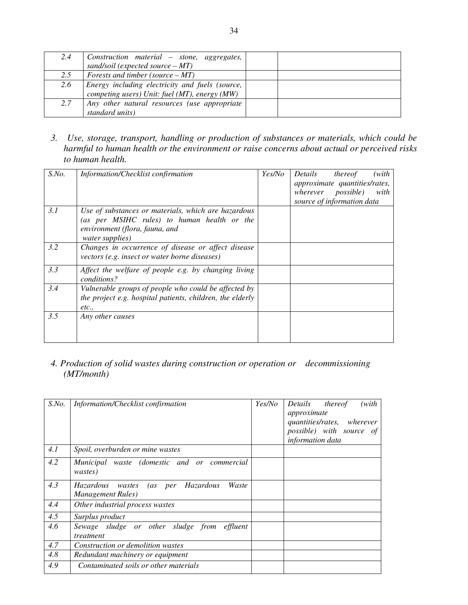| 2.4 | Construction material – stone, aggregates,<br>sand/soil (expected source $-MT$ )                 |  |
|-----|--------------------------------------------------------------------------------------------------|--|
| 2.5 | Forests and timber (source $-MT$ )                                                               |  |
| 2.6 | Energy including electricity and fuels (source,<br>competing users) Unit: fuel (MT), energy (MW) |  |
| 2.7 | Any other natural resources (use appropriate<br>standard units)                                  |  |

*3. Use, storage, transport, handling or production of substances or materials, which could be harmful to human health or the environment or raise concerns about actual or perceived risks to human health.* 

| $S$ .No. | Information/Checklist confirmation                                                                                                                      | Yes/No | Details<br>thereof<br>(with<br>approximate quantities/rates,<br>wherever possible)<br>with<br>source of information data |
|----------|---------------------------------------------------------------------------------------------------------------------------------------------------------|--------|--------------------------------------------------------------------------------------------------------------------------|
| 3.1      | Use of substances or materials, which are hazardous<br>(as per MSIHC rules) to human health or the<br>environment (flora, fauna, and<br>water supplies) |        |                                                                                                                          |
| 3.2      | Changes in occurrence of disease or affect disease<br>vectors (e.g. insect or water borne diseases)                                                     |        |                                                                                                                          |
| 3.3      | Affect the welfare of people e.g. by changing living<br>conditions?                                                                                     |        |                                                                                                                          |
| 3.4      | Vulnerable groups of people who could be affected by<br>the project e.g. hospital patients, children, the elderly<br>etc.,                              |        |                                                                                                                          |
| 3.5      | Any other causes                                                                                                                                        |        |                                                                                                                          |

*4. Production of solid wastes during construction or operation or decommissioning (MT/month)* 

| $S$ .No. | Information/Checklist confirmation                                        | Yes/No | Details thereof<br>(with<br>approximate<br>quantities/rates, wherever<br>possible) with source of<br>information data |
|----------|---------------------------------------------------------------------------|--------|-----------------------------------------------------------------------------------------------------------------------|
| 4.1      | Spoil, overburden or mine wastes                                          |        |                                                                                                                       |
| 4.2      | Municipal waste (domestic and or commercial<br>wastes)                    |        |                                                                                                                       |
| 4.3      | Hazardous<br>(as per<br>Waste<br>Hazardous<br>wastes<br>Management Rules) |        |                                                                                                                       |
| 4.4      | Other industrial process wastes                                           |        |                                                                                                                       |
| 4.5      | Surplus product                                                           |        |                                                                                                                       |
| 4.6      | Sewage sludge or other sludge from effluent<br>treatment                  |        |                                                                                                                       |
| 4.7      | Construction or demolition wastes                                         |        |                                                                                                                       |
| 4.8      | Redundant machinery or equipment                                          |        |                                                                                                                       |
| 4.9      | Contaminated soils or other materials                                     |        |                                                                                                                       |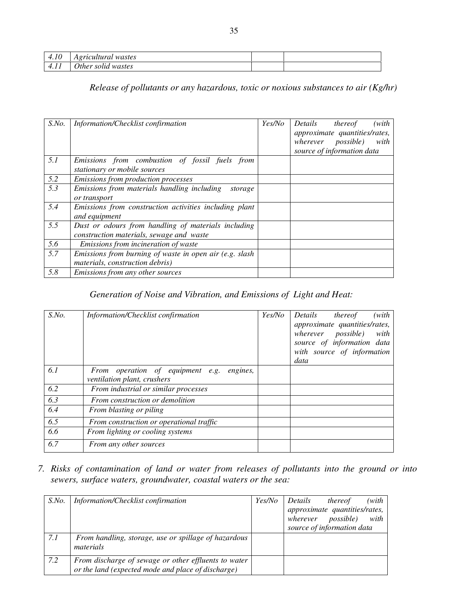| 4.10 | Agricultural wastes |  |
|------|---------------------|--|
| 4.11 | Other solid wastes  |  |

# *Release of pollutants or any hazardous, toxic or noxious substances to air (Kg/hr)*

| $S$ .No.         | Information/Checklist confirmation                                                              | Yes/No | (with)<br>Details<br>thereof<br>approximate quantities/rates,<br><i>possible</i> )<br>wherever<br>with<br>source of information data |
|------------------|-------------------------------------------------------------------------------------------------|--------|--------------------------------------------------------------------------------------------------------------------------------------|
| 5.1              | Emissions from combustion of fossil fuels from<br>stationary or mobile sources                  |        |                                                                                                                                      |
| 5.2              | <i>Emissions from production processes</i>                                                      |        |                                                                                                                                      |
| $\overline{5.3}$ | Emissions from materials handling including<br>storage<br>or transport                          |        |                                                                                                                                      |
| 5.4              | Emissions from construction activities including plant<br>and equipment                         |        |                                                                                                                                      |
| 5.5              | Dust or odours from handling of materials including<br>construction materials, sewage and waste |        |                                                                                                                                      |
| 5.6              | Emissions from incineration of waste                                                            |        |                                                                                                                                      |
| 5.7              | Emissions from burning of waste in open air (e.g. slash<br>materials, construction debris)      |        |                                                                                                                                      |
| 5.8              | Emissions from any other sources                                                                |        |                                                                                                                                      |

# *Generation of Noise and Vibration, and Emissions of Light and Heat:*

| $S$ .No.         | Information/Checklist confirmation           | Yes/No | (with)<br>Details<br>thereof<br>approximate quantities/rates,<br>wherever<br><i>possible</i> )<br>with<br>source of information data<br>with source of information<br>data |
|------------------|----------------------------------------------|--------|----------------------------------------------------------------------------------------------------------------------------------------------------------------------------|
| 6.1              | From operation of equipment e.g.<br>engines, |        |                                                                                                                                                                            |
|                  | ventilation plant, crushers                  |        |                                                                                                                                                                            |
| 6.2              | From industrial or similar processes         |        |                                                                                                                                                                            |
| 6.3              | From construction or demolition              |        |                                                                                                                                                                            |
| 6.4              | From blasting or piling                      |        |                                                                                                                                                                            |
| 6.5              | From construction or operational traffic     |        |                                                                                                                                                                            |
| 6.6              | From lighting or cooling systems             |        |                                                                                                                                                                            |
| $\overline{6.7}$ | From any other sources                       |        |                                                                                                                                                                            |

*7. Risks of contamination of land or water from releases of pollutants into the ground or into sewers, surface waters, groundwater, coastal waters or the sea:* 

| $S$ .No. | Information/Checklist confirmation                                                                         | <i>Yes/No</i> | Details  | thereof                       | (with |
|----------|------------------------------------------------------------------------------------------------------------|---------------|----------|-------------------------------|-------|
|          |                                                                                                            |               |          | approximate quantities/rates, |       |
|          |                                                                                                            |               | wherever | <i>possible</i> )             | with  |
|          |                                                                                                            |               |          | source of information data    |       |
| 7.1      | From handling, storage, use or spillage of hazardous<br>materials                                          |               |          |                               |       |
| 7.2      | From discharge of sewage or other effluents to water<br>or the land (expected mode and place of discharge) |               |          |                               |       |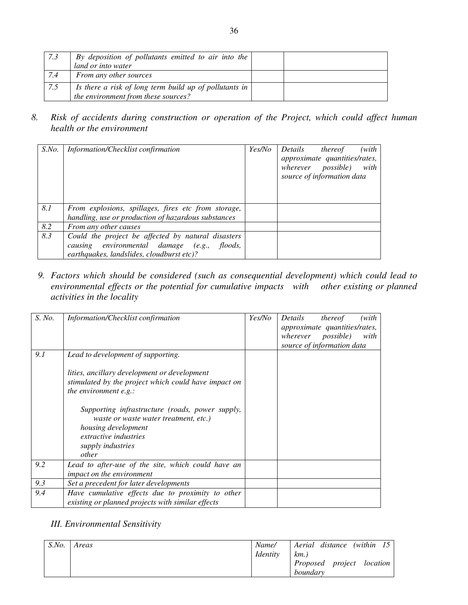| 7.3 | By deposition of pollutants emitted to air into the<br>land or into water                     |  |
|-----|-----------------------------------------------------------------------------------------------|--|
| 7.4 | From any other sources                                                                        |  |
| 7.5 | Is there a risk of long term build up of pollutants in<br>the environment from these sources? |  |

*8. Risk of accidents during construction or operation of the Project, which could affect human health or the environment* 

| $S$ .No. | Information/Checklist confirmation                                                                                                                       | Yes/No | Details<br>(with<br>thereof<br>approximate quantities/rates,<br><i>possible</i> )<br>wherever<br>with<br>source of information data |
|----------|----------------------------------------------------------------------------------------------------------------------------------------------------------|--------|-------------------------------------------------------------------------------------------------------------------------------------|
| 8.1      | From explosions, spillages, fires etc from storage,<br>handling, use or production of hazardous substances                                               |        |                                                                                                                                     |
| 8.2      | From any other causes                                                                                                                                    |        |                                                                                                                                     |
| 8.3      | Could the project be affected by natural disasters<br>causing environmental damage (e.g.,<br><i>floods,</i><br>earthquakes, landslides, cloudburst etc)? |        |                                                                                                                                     |

*9. Factors which should be considered (such as consequential development) which could lead to environmental effects or the potential for cumulative impacts with other existing or planned activities in the locality* 

| S. No. | Information/Checklist confirmation                                                                                                                                            | Yes/No | Details<br>thereof<br>(with<br>approximate quantities/rates,<br>wherever possible)<br>with<br>source of information data |
|--------|-------------------------------------------------------------------------------------------------------------------------------------------------------------------------------|--------|--------------------------------------------------------------------------------------------------------------------------|
| 9.1    | Lead to development of supporting.                                                                                                                                            |        |                                                                                                                          |
|        | lities, ancillary development or development<br>stimulated by the project which could have impact on<br>the environment $e.g.$ :                                              |        |                                                                                                                          |
|        | Supporting infrastructure (roads, power supply,<br>waste or waste water treatment, etc.)<br>housing development<br><i>extractive industries</i><br>supply industries<br>other |        |                                                                                                                          |
| 9.2    | Lead to after-use of the site, which could have an<br>impact on the environment                                                                                               |        |                                                                                                                          |
| 9.3    | Set a precedent for later developments                                                                                                                                        |        |                                                                                                                          |
| 9.4    | Have cumulative effects due to proximity to other<br>existing or planned projects with similar effects                                                                        |        |                                                                                                                          |

# *III. Environmental Sensitivity*

| $S$ .No. | Areas | Name/<br><i>Identity</i> | Aerial distance (within 15<br>km.     |
|----------|-------|--------------------------|---------------------------------------|
|          |       |                          | Proposed project location<br>boundary |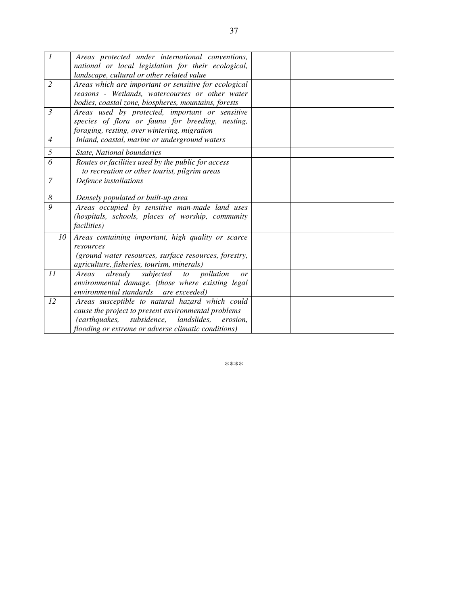| 1              | Areas protected under international conventions,                                                            |  |
|----------------|-------------------------------------------------------------------------------------------------------------|--|
|                | national or local legislation for their ecological,                                                         |  |
|                | landscape, cultural or other related value                                                                  |  |
| $\overline{2}$ | Areas which are important or sensitive for ecological                                                       |  |
|                | reasons - Wetlands, watercourses or other water                                                             |  |
|                | bodies, coastal zone, biospheres, mountains, forests                                                        |  |
| $\mathfrak{Z}$ | Areas used by protected, important or sensitive                                                             |  |
|                | species of flora or fauna for breeding, nesting,                                                            |  |
|                | foraging, resting, over wintering, migration                                                                |  |
| $\overline{4}$ | Inland, coastal, marine or underground waters                                                               |  |
| 5              | State, National boundaries                                                                                  |  |
| 6              | Routes or facilities used by the public for access                                                          |  |
|                | to recreation or other tourist, pilgrim areas                                                               |  |
| $\overline{7}$ | Defence installations                                                                                       |  |
|                |                                                                                                             |  |
| 8              | Densely populated or built-up area                                                                          |  |
| 9              | Areas occupied by sensitive man-made land uses                                                              |  |
|                | (hospitals, schools, places of worship, community                                                           |  |
|                | <i>facilities</i> )                                                                                         |  |
| 10             | Areas containing important, high quality or scarce                                                          |  |
|                | resources                                                                                                   |  |
|                | (ground water resources, surface resources, forestry,                                                       |  |
|                | agriculture, fisheries, tourism, minerals)                                                                  |  |
| 11             | subjected<br>pollution<br>already<br>Areas<br>to<br>or                                                      |  |
|                | environmental damage. (those where existing legal                                                           |  |
|                | environmental standards are exceeded)                                                                       |  |
| 12             | Areas susceptible to natural hazard which could                                                             |  |
|                |                                                                                                             |  |
|                | cause the project to present environmental problems                                                         |  |
|                | (earthquakes,<br>subsidence, landslides,<br>erosion.<br>flooding or extreme or adverse climatic conditions) |  |

*\*\*\*\**